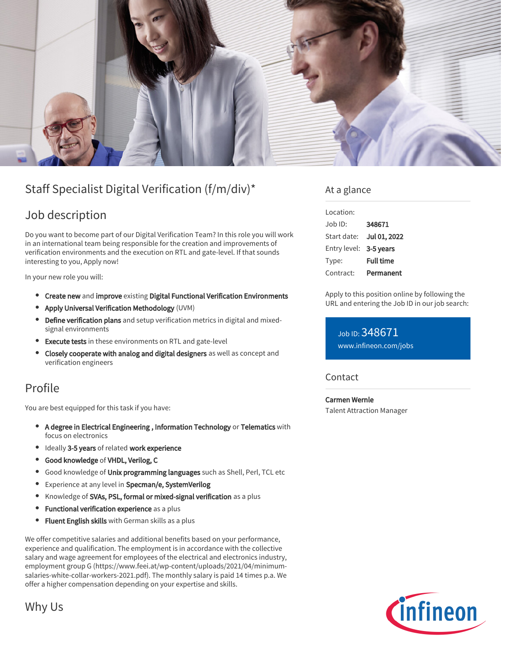

# Staff Specialist Digital Verification (f/m/div)\*

## Job description

Do you want to become part of our Digital Verification Team? In this role you will work in an international team being responsible for the creation and improvements of verification environments and the execution on RTL and gate-level. If that sounds interesting to you, Apply now!

In your new role you will:

- **Create new and improve existing Digital Functional Verification Environments**
- Apply Universal Verification Methodology (UVM)
- Define verification plans and setup verification metrics in digital and mixedsignal environments
- Execute tests in these environments on RTL and gate-level
- Closely cooperate with analog and digital designers as well as concept and verification engineers

### Profile

You are best equipped for this task if you have:

- A degree in Electrical Engineering , Information Technology or Telematics with focus on electronics
- Ideally 3-5 years of related work experience
- Good knowledge of VHDL, Verilog, C
- **Good knowledge of Unix programming languages** such as Shell, Perl, TCL etc
- **•** Experience at any level in Specman/e, SystemVerilog
- Knowledge of SVAs, PSL, formal or mixed-signal verification as a plus
- Functional verification experience as a plus  $\bullet$
- **Fluent English skills** with German skills as a plus

We offer competitive salaries and additional benefits based on your performance, experience and qualification. The employment is in accordance with the collective salary and wage agreement for employees of the electrical and electronics industry, employment group G (https://www.feei.at/wp-content/uploads/2021/04/minimumsalaries-white-collar-workers-2021.pdf). The monthly salary is paid 14 times p.a. We offer a higher compensation depending on your expertise and skills.

At a glance

| Location:              |                  |
|------------------------|------------------|
| Job ID:                | 348671           |
| Start date:            | Jul 01, 2022     |
| Entry level: 3-5 years |                  |
| Type:                  | <b>Full time</b> |
| Contract:              | Permanent        |

Apply to this position online by following the URL and entering the Job ID in our job search:

Job ID: 348671 [www.infineon.com/jobs](https://www.infineon.com/jobs)

#### **Contact**

Carmen Wernle Talent Attraction Manager



Why Us